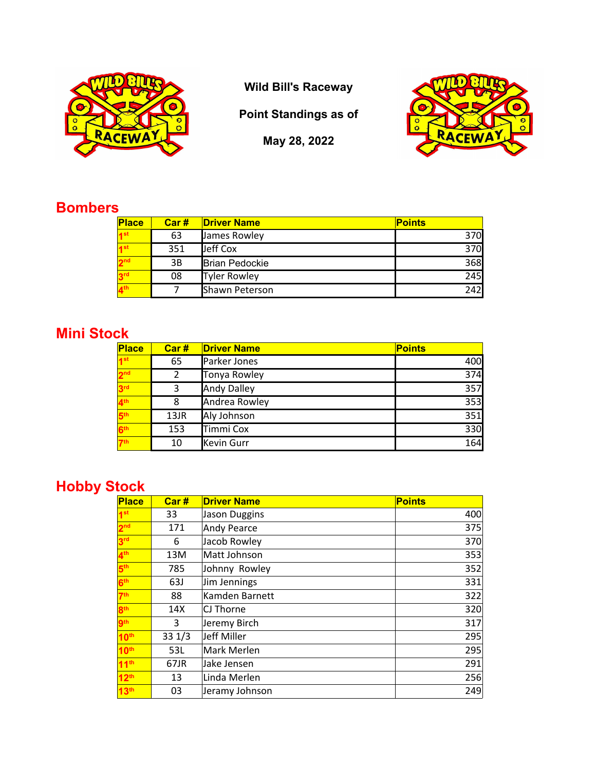

**Wild Bill's Raceway**

**Point Standings as of**

**May 28, 2022**



## **Bombers**

| Place           | Car# | <b>Driver Name</b>    | <b>Points</b> |
|-----------------|------|-----------------------|---------------|
| 1st             | 63   | James Rowley          | 370           |
| 1st             | 351  | Jeff Cox              | 370           |
| 2 <sub>nd</sub> | 3B   | <b>Brian Pedockie</b> | 368           |
| 3 <sup>rd</sup> | 08   | <b>Tyler Rowley</b>   | 245           |
| 4 <sup>th</sup> |      | Shawn Peterson        | 242           |

## **Mini Stock**

| Place           | Car# | <b>Driver Name</b> | <b>Points</b> |
|-----------------|------|--------------------|---------------|
| 1 <sup>st</sup> | 65   | Parker Jones       | 400           |
| 2 <sup>nd</sup> | 2    | Tonya Rowley       | 374           |
| 3 <sup>rd</sup> | 3    | <b>Andy Dalley</b> | 357           |
| 4 <sup>th</sup> | 8    | Andrea Rowley      | 353           |
| 5th             | 13JR | Aly Johnson        | 351           |
| 6 <sup>th</sup> | 153  | Timmi Cox          | 330           |
| 7 <sup>th</sup> | 10   | <b>Kevin Gurr</b>  | 164           |

## **Hobby Stock**

| <b>Place</b>     | Car#       | <b>Driver Name</b> | <b>Points</b> |
|------------------|------------|--------------------|---------------|
| 1 <sup>st</sup>  | 33         | Jason Duggins      | 400           |
| 2 <sup>nd</sup>  | 171        | Andy Pearce        | 375           |
| 3 <sup>rd</sup>  | 6          | Jacob Rowley       | 370           |
| 4 <sup>th</sup>  | 13M        | Matt Johnson       | 353           |
| 5 <sup>th</sup>  | 785        | Johnny Rowley      | 352           |
| 6 <sup>th</sup>  | <b>63J</b> | Jim Jennings       | 331           |
| 7 <sup>th</sup>  | 88         | Kamden Barnett     | 322           |
| 8 <sup>th</sup>  | 14X        | CJ Thorne          | 320           |
| <b>gth</b>       | 3          | Jeremy Birch       | 317           |
| 10 <sup>th</sup> | 331/3      | Jeff Miller        | 295           |
| 10 <sup>th</sup> | 53L        | Mark Merlen        | 295           |
| 11 <sup>th</sup> | 67JR       | Jake Jensen        | 291           |
| 12 <sup>th</sup> | 13         | Linda Merlen       | 256           |
| 13 <sup>th</sup> | 03         | Jeramy Johnson     | 249           |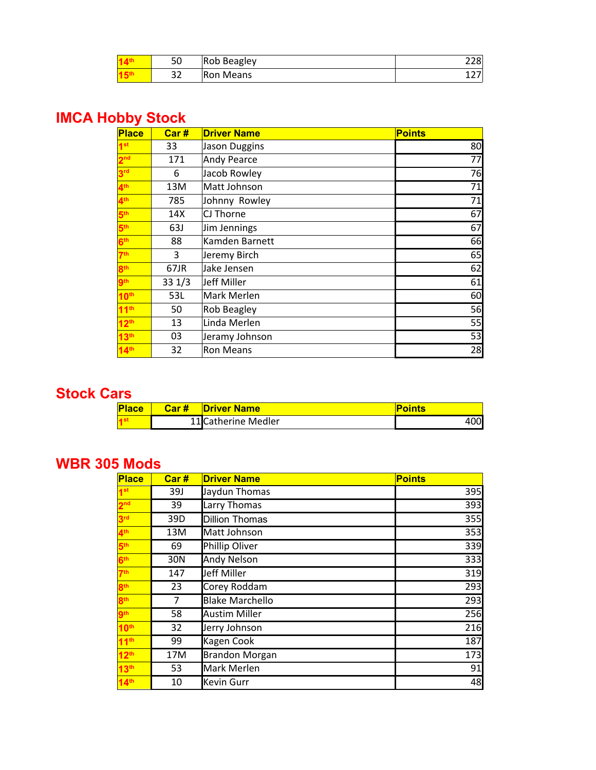| 50        | Rob Beagley |   |
|-----------|-------------|---|
| າາ<br>ے د | Ron Means   | ∸ |

### **IMCA Hobby Stock**

| <b>Place</b>     | Car#  | <b>Driver Name</b>   | <b>Points</b> |
|------------------|-------|----------------------|---------------|
| 1 <sup>st</sup>  | 33    | <b>Jason Duggins</b> | 80            |
| 2 <sup>nd</sup>  | 171   | Andy Pearce          | 77            |
| 3 <sup>rd</sup>  | 6     | Jacob Rowley         | 76            |
| 4 <sup>th</sup>  | 13M   | Matt Johnson         | 71            |
| 4 <sup>th</sup>  | 785   | Johnny Rowley        | 71            |
| 5 <sup>th</sup>  | 14X   | CJ Thorne            | 67            |
| 5 <sup>th</sup>  | 63J   | Jim Jennings         | 67            |
| 6 <sup>th</sup>  | 88    | Kamden Barnett       | 66            |
| 7 <sup>th</sup>  | 3     | Jeremy Birch         | 65            |
| 8 <sup>th</sup>  | 67JR  | Jake Jensen          | 62            |
| 9 <sup>th</sup>  | 331/3 | Jeff Miller          | 61            |
| 10 <sup>th</sup> | 53L   | Mark Merlen          | 60            |
| 11 <sup>th</sup> | 50    | Rob Beagley          | 56            |
| 12 <sup>th</sup> | 13    | Linda Merlen         | 55            |
| 13th             | 03    | Jeramy Johnson       | 53            |
| 14 <sup>th</sup> | 32    | <b>Ron Means</b>     | 28            |

#### **Stock Cars**

| <b>Place</b> | Car # | <b>Driver Name</b>  | <b>Points</b> |
|--------------|-------|---------------------|---------------|
|              |       | 11 Catherine Medler | ,001          |

### **WBR 305 Mods**

| <b>Place</b>     | Car# | <b>Driver Name</b>     | <b>Points</b> |
|------------------|------|------------------------|---------------|
| 1 <sup>st</sup>  | 39J  | Jaydun Thomas          | 395           |
| 2 <sup>nd</sup>  | 39   | Larry Thomas           | 393           |
| 3 <sup>rd</sup>  | 39D  | <b>Dillion Thomas</b>  | 355           |
| 4 <sup>th</sup>  | 13M  | Matt Johnson           | 353           |
| 5 <sup>th</sup>  | 69   | Phillip Oliver         | 339           |
| 6 <sup>th</sup>  | 30N  | <b>Andy Nelson</b>     | 333           |
| 7 <sup>th</sup>  | 147  | Jeff Miller            | 319           |
| 8 <sup>th</sup>  | 23   | Corey Roddam           | 293           |
| 8 <sup>th</sup>  | 7    | <b>Blake Marchello</b> | 293           |
| 9 <sub>th</sub>  | 58   | <b>Austim Miller</b>   | 256           |
| 10 <sup>th</sup> | 32   | Jerry Johnson          | 216           |
| 11 <sup>th</sup> | 99   | Kagen Cook             | 187           |
| 12 <sup>th</sup> | 17M  | <b>Brandon Morgan</b>  | 173           |
| 13 <sup>th</sup> | 53   | Mark Merlen            | 91            |
| 14 <sup>th</sup> | 10   | Kevin Gurr             | 48            |